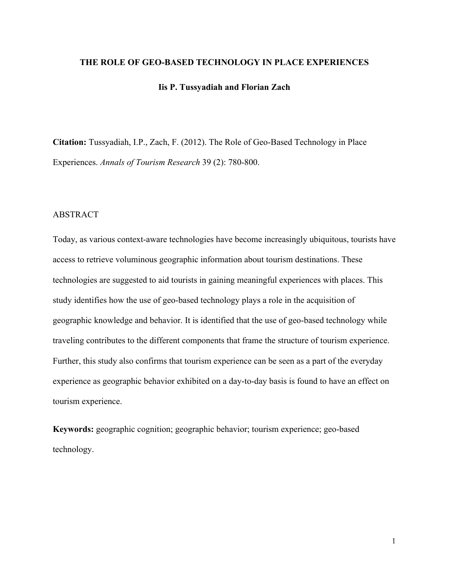## **THE ROLE OF GEO-BASED TECHNOLOGY IN PLACE EXPERIENCES**

#### **Iis P. Tussyadiah and Florian Zach**

**Citation:** Tussyadiah, I.P., Zach, F. (2012). The Role of Geo-Based Technology in Place Experiences. *Annals of Tourism Research* 39 (2): 780-800.

## ABSTRACT

Today, as various context-aware technologies have become increasingly ubiquitous, tourists have access to retrieve voluminous geographic information about tourism destinations. These technologies are suggested to aid tourists in gaining meaningful experiences with places. This study identifies how the use of geo-based technology plays a role in the acquisition of geographic knowledge and behavior. It is identified that the use of geo-based technology while traveling contributes to the different components that frame the structure of tourism experience. Further, this study also confirms that tourism experience can be seen as a part of the everyday experience as geographic behavior exhibited on a day-to-day basis is found to have an effect on tourism experience.

**Keywords:** geographic cognition; geographic behavior; tourism experience; geo-based technology.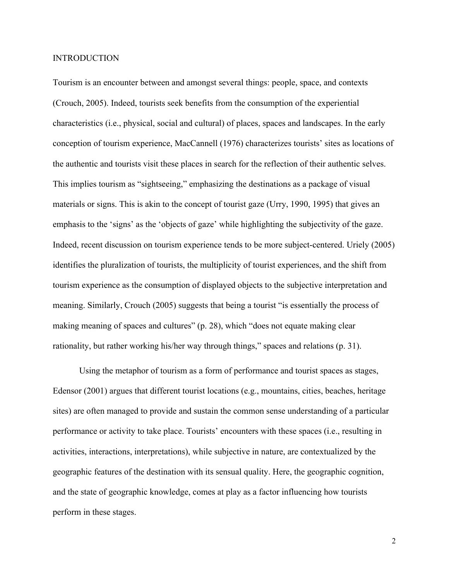### INTRODUCTION

Tourism is an encounter between and amongst several things: people, space, and contexts (Crouch, 2005). Indeed, tourists seek benefits from the consumption of the experiential characteristics (i.e., physical, social and cultural) of places, spaces and landscapes. In the early conception of tourism experience, MacCannell (1976) characterizes tourists' sites as locations of the authentic and tourists visit these places in search for the reflection of their authentic selves. This implies tourism as "sightseeing," emphasizing the destinations as a package of visual materials or signs. This is akin to the concept of tourist gaze (Urry, 1990, 1995) that gives an emphasis to the 'signs' as the 'objects of gaze' while highlighting the subjectivity of the gaze. Indeed, recent discussion on tourism experience tends to be more subject-centered. Uriely (2005) identifies the pluralization of tourists, the multiplicity of tourist experiences, and the shift from tourism experience as the consumption of displayed objects to the subjective interpretation and meaning. Similarly, Crouch (2005) suggests that being a tourist "is essentially the process of making meaning of spaces and cultures" (p. 28), which "does not equate making clear rationality, but rather working his/her way through things," spaces and relations (p. 31).

Using the metaphor of tourism as a form of performance and tourist spaces as stages, Edensor (2001) argues that different tourist locations (e.g., mountains, cities, beaches, heritage sites) are often managed to provide and sustain the common sense understanding of a particular performance or activity to take place. Tourists' encounters with these spaces (i.e., resulting in activities, interactions, interpretations), while subjective in nature, are contextualized by the geographic features of the destination with its sensual quality. Here, the geographic cognition, and the state of geographic knowledge, comes at play as a factor influencing how tourists perform in these stages.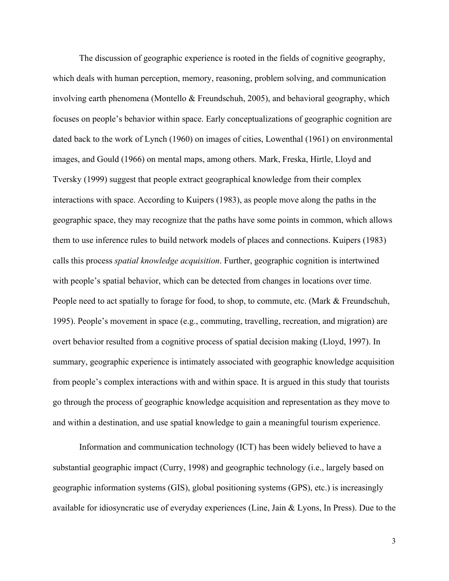The discussion of geographic experience is rooted in the fields of cognitive geography, which deals with human perception, memory, reasoning, problem solving, and communication involving earth phenomena (Montello & Freundschuh, 2005), and behavioral geography, which focuses on people's behavior within space. Early conceptualizations of geographic cognition are dated back to the work of Lynch (1960) on images of cities, Lowenthal (1961) on environmental images, and Gould (1966) on mental maps, among others. Mark, Freska, Hirtle, Lloyd and Tversky (1999) suggest that people extract geographical knowledge from their complex interactions with space. According to Kuipers (1983), as people move along the paths in the geographic space, they may recognize that the paths have some points in common, which allows them to use inference rules to build network models of places and connections. Kuipers (1983) calls this process *spatial knowledge acquisition*. Further, geographic cognition is intertwined with people's spatial behavior, which can be detected from changes in locations over time. People need to act spatially to forage for food, to shop, to commute, etc. (Mark & Freundschuh, 1995). People's movement in space (e.g., commuting, travelling, recreation, and migration) are overt behavior resulted from a cognitive process of spatial decision making (Lloyd, 1997). In summary, geographic experience is intimately associated with geographic knowledge acquisition from people's complex interactions with and within space. It is argued in this study that tourists go through the process of geographic knowledge acquisition and representation as they move to and within a destination, and use spatial knowledge to gain a meaningful tourism experience.

Information and communication technology (ICT) has been widely believed to have a substantial geographic impact (Curry, 1998) and geographic technology (i.e., largely based on geographic information systems (GIS), global positioning systems (GPS), etc.) is increasingly available for idiosyncratic use of everyday experiences (Line, Jain & Lyons, In Press). Due to the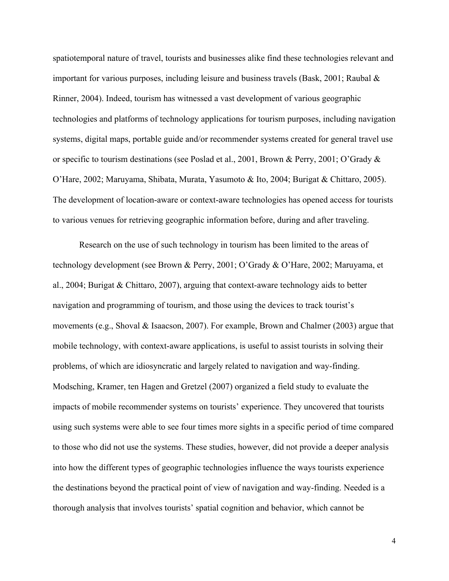spatiotemporal nature of travel, tourists and businesses alike find these technologies relevant and important for various purposes, including leisure and business travels (Bask, 2001; Raubal & Rinner, 2004). Indeed, tourism has witnessed a vast development of various geographic technologies and platforms of technology applications for tourism purposes, including navigation systems, digital maps, portable guide and/or recommender systems created for general travel use or specific to tourism destinations (see Poslad et al., 2001, Brown & Perry, 2001; O'Grady & O'Hare, 2002; Maruyama, Shibata, Murata, Yasumoto & Ito, 2004; Burigat & Chittaro, 2005). The development of location-aware or context-aware technologies has opened access for tourists to various venues for retrieving geographic information before, during and after traveling.

Research on the use of such technology in tourism has been limited to the areas of technology development (see Brown & Perry, 2001; O'Grady & O'Hare, 2002; Maruyama, et al., 2004; Burigat & Chittaro, 2007), arguing that context-aware technology aids to better navigation and programming of tourism, and those using the devices to track tourist's movements (e.g., Shoval & Isaacson, 2007). For example, Brown and Chalmer (2003) argue that mobile technology, with context-aware applications, is useful to assist tourists in solving their problems, of which are idiosyncratic and largely related to navigation and way-finding. Modsching, Kramer, ten Hagen and Gretzel (2007) organized a field study to evaluate the impacts of mobile recommender systems on tourists' experience. They uncovered that tourists using such systems were able to see four times more sights in a specific period of time compared to those who did not use the systems. These studies, however, did not provide a deeper analysis into how the different types of geographic technologies influence the ways tourists experience the destinations beyond the practical point of view of navigation and way-finding. Needed is a thorough analysis that involves tourists' spatial cognition and behavior, which cannot be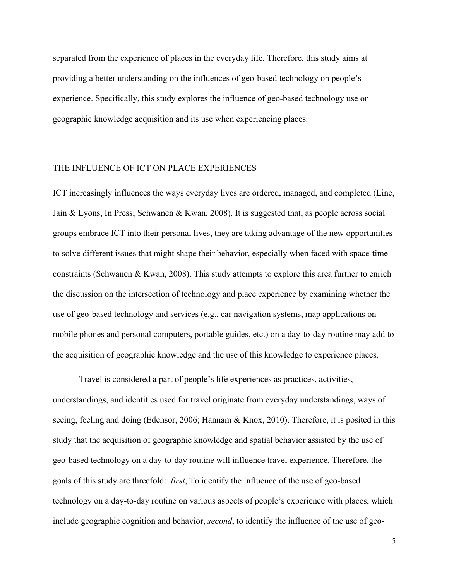separated from the experience of places in the everyday life. Therefore, this study aims at providing a better understanding on the influences of geo-based technology on people's experience. Specifically, this study explores the influence of geo-based technology use on geographic knowledge acquisition and its use when experiencing places.

### THE INFLUENCE OF ICT ON PLACE EXPERIENCES

ICT increasingly influences the ways everyday lives are ordered, managed, and completed (Line, Jain & Lyons, In Press; Schwanen & Kwan, 2008). It is suggested that, as people across social groups embrace ICT into their personal lives, they are taking advantage of the new opportunities to solve different issues that might shape their behavior, especially when faced with space-time constraints (Schwanen & Kwan, 2008). This study attempts to explore this area further to enrich the discussion on the intersection of technology and place experience by examining whether the use of geo-based technology and services (e.g., car navigation systems, map applications on mobile phones and personal computers, portable guides, etc.) on a day-to-day routine may add to the acquisition of geographic knowledge and the use of this knowledge to experience places.

Travel is considered a part of people's life experiences as practices, activities, understandings, and identities used for travel originate from everyday understandings, ways of seeing, feeling and doing (Edensor, 2006; Hannam & Knox, 2010). Therefore, it is posited in this study that the acquisition of geographic knowledge and spatial behavior assisted by the use of geo-based technology on a day-to-day routine will influence travel experience. Therefore, the goals of this study are threefold: *first*, To identify the influence of the use of geo-based technology on a day-to-day routine on various aspects of people's experience with places, which include geographic cognition and behavior, *second*, to identify the influence of the use of geo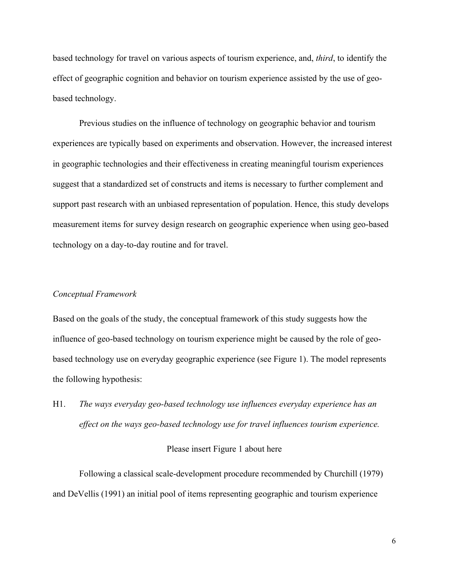based technology for travel on various aspects of tourism experience, and, *third*, to identify the effect of geographic cognition and behavior on tourism experience assisted by the use of geobased technology.

Previous studies on the influence of technology on geographic behavior and tourism experiences are typically based on experiments and observation. However, the increased interest in geographic technologies and their effectiveness in creating meaningful tourism experiences suggest that a standardized set of constructs and items is necessary to further complement and support past research with an unbiased representation of population. Hence, this study develops measurement items for survey design research on geographic experience when using geo-based technology on a day-to-day routine and for travel.

### *Conceptual Framework*

Based on the goals of the study, the conceptual framework of this study suggests how the influence of geo-based technology on tourism experience might be caused by the role of geobased technology use on everyday geographic experience (see Figure 1). The model represents the following hypothesis:

H1. *The ways everyday geo-based technology use influences everyday experience has an effect on the ways geo-based technology use for travel influences tourism experience.* 

#### Please insert Figure 1 about here

Following a classical scale-development procedure recommended by Churchill (1979) and DeVellis (1991) an initial pool of items representing geographic and tourism experience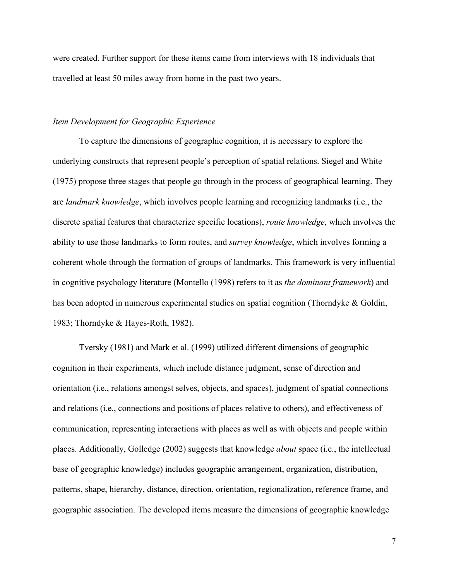were created. Further support for these items came from interviews with 18 individuals that travelled at least 50 miles away from home in the past two years.

## *Item Development for Geographic Experience*

To capture the dimensions of geographic cognition, it is necessary to explore the underlying constructs that represent people's perception of spatial relations. Siegel and White (1975) propose three stages that people go through in the process of geographical learning. They are *landmark knowledge*, which involves people learning and recognizing landmarks (i.e., the discrete spatial features that characterize specific locations), *route knowledge*, which involves the ability to use those landmarks to form routes, and *survey knowledge*, which involves forming a coherent whole through the formation of groups of landmarks. This framework is very influential in cognitive psychology literature (Montello (1998) refers to it as *the dominant framework*) and has been adopted in numerous experimental studies on spatial cognition (Thorndyke & Goldin, 1983; Thorndyke & Hayes-Roth, 1982).

Tversky (1981) and Mark et al. (1999) utilized different dimensions of geographic cognition in their experiments, which include distance judgment, sense of direction and orientation (i.e., relations amongst selves, objects, and spaces), judgment of spatial connections and relations (i.e., connections and positions of places relative to others), and effectiveness of communication, representing interactions with places as well as with objects and people within places. Additionally, Golledge (2002) suggests that knowledge *about* space (i.e., the intellectual base of geographic knowledge) includes geographic arrangement, organization, distribution, patterns, shape, hierarchy, distance, direction, orientation, regionalization, reference frame, and geographic association. The developed items measure the dimensions of geographic knowledge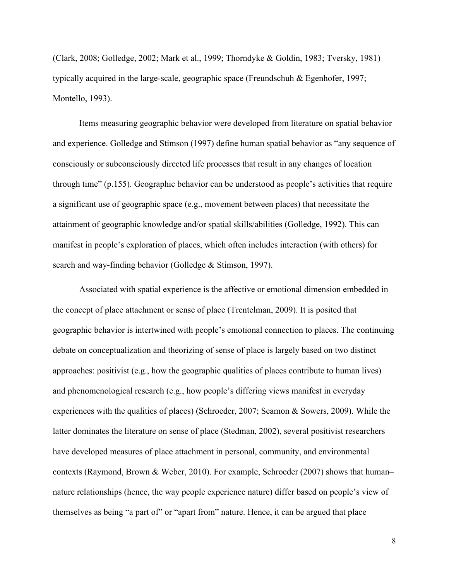(Clark, 2008; Golledge, 2002; Mark et al., 1999; Thorndyke & Goldin, 1983; Tversky, 1981) typically acquired in the large-scale, geographic space (Freundschuh & Egenhofer, 1997; Montello, 1993).

Items measuring geographic behavior were developed from literature on spatial behavior and experience. Golledge and Stimson (1997) define human spatial behavior as "any sequence of consciously or subconsciously directed life processes that result in any changes of location through time" (p.155). Geographic behavior can be understood as people's activities that require a significant use of geographic space (e.g., movement between places) that necessitate the attainment of geographic knowledge and/or spatial skills/abilities (Golledge, 1992). This can manifest in people's exploration of places, which often includes interaction (with others) for search and way-finding behavior (Golledge & Stimson, 1997).

Associated with spatial experience is the affective or emotional dimension embedded in the concept of place attachment or sense of place (Trentelman, 2009). It is posited that geographic behavior is intertwined with people's emotional connection to places. The continuing debate on conceptualization and theorizing of sense of place is largely based on two distinct approaches: positivist (e.g., how the geographic qualities of places contribute to human lives) and phenomenological research (e.g., how people's differing views manifest in everyday experiences with the qualities of places) (Schroeder, 2007; Seamon & Sowers, 2009). While the latter dominates the literature on sense of place (Stedman, 2002), several positivist researchers have developed measures of place attachment in personal, community, and environmental contexts (Raymond, Brown & Weber, 2010). For example, Schroeder (2007) shows that human– nature relationships (hence, the way people experience nature) differ based on people's view of themselves as being "a part of" or "apart from" nature. Hence, it can be argued that place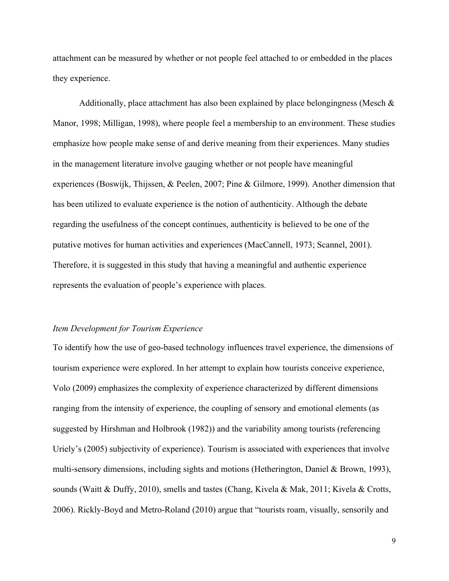attachment can be measured by whether or not people feel attached to or embedded in the places they experience.

Additionally, place attachment has also been explained by place belongingness (Mesch  $\&$ Manor, 1998; Milligan, 1998), where people feel a membership to an environment. These studies emphasize how people make sense of and derive meaning from their experiences. Many studies in the management literature involve gauging whether or not people have meaningful experiences (Boswijk, Thijssen, & Peelen, 2007; Pine & Gilmore, 1999). Another dimension that has been utilized to evaluate experience is the notion of authenticity. Although the debate regarding the usefulness of the concept continues, authenticity is believed to be one of the putative motives for human activities and experiences (MacCannell, 1973; Scannel, 2001). Therefore, it is suggested in this study that having a meaningful and authentic experience represents the evaluation of people's experience with places.

## *Item Development for Tourism Experience*

To identify how the use of geo-based technology influences travel experience, the dimensions of tourism experience were explored. In her attempt to explain how tourists conceive experience, Volo (2009) emphasizes the complexity of experience characterized by different dimensions ranging from the intensity of experience, the coupling of sensory and emotional elements (as suggested by Hirshman and Holbrook (1982)) and the variability among tourists (referencing Uriely's (2005) subjectivity of experience). Tourism is associated with experiences that involve multi-sensory dimensions, including sights and motions (Hetherington, Daniel & Brown, 1993), sounds (Waitt & Duffy, 2010), smells and tastes (Chang, Kivela & Mak, 2011; Kivela & Crotts, 2006). Rickly-Boyd and Metro-Roland (2010) argue that "tourists roam, visually, sensorily and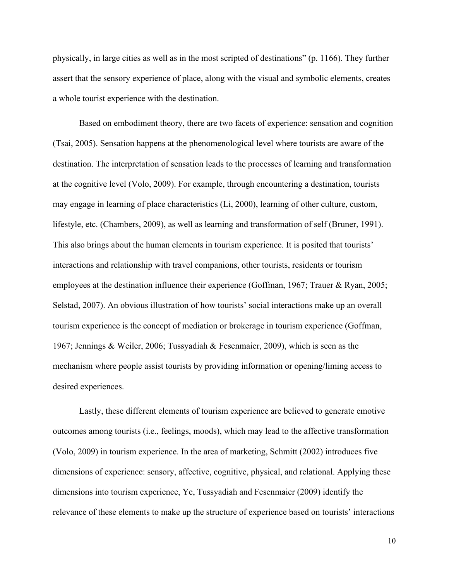physically, in large cities as well as in the most scripted of destinations" (p. 1166). They further assert that the sensory experience of place, along with the visual and symbolic elements, creates a whole tourist experience with the destination.

Based on embodiment theory, there are two facets of experience: sensation and cognition (Tsai, 2005). Sensation happens at the phenomenological level where tourists are aware of the destination. The interpretation of sensation leads to the processes of learning and transformation at the cognitive level (Volo, 2009). For example, through encountering a destination, tourists may engage in learning of place characteristics (Li, 2000), learning of other culture, custom, lifestyle, etc. (Chambers, 2009), as well as learning and transformation of self (Bruner, 1991). This also brings about the human elements in tourism experience. It is posited that tourists' interactions and relationship with travel companions, other tourists, residents or tourism employees at the destination influence their experience (Goffman, 1967; Trauer & Ryan, 2005; Selstad, 2007). An obvious illustration of how tourists' social interactions make up an overall tourism experience is the concept of mediation or brokerage in tourism experience (Goffman, 1967; Jennings & Weiler, 2006; Tussyadiah & Fesenmaier, 2009), which is seen as the mechanism where people assist tourists by providing information or opening/liming access to desired experiences.

Lastly, these different elements of tourism experience are believed to generate emotive outcomes among tourists (i.e., feelings, moods), which may lead to the affective transformation (Volo, 2009) in tourism experience. In the area of marketing, Schmitt (2002) introduces five dimensions of experience: sensory, affective, cognitive, physical, and relational. Applying these dimensions into tourism experience, Ye, Tussyadiah and Fesenmaier (2009) identify the relevance of these elements to make up the structure of experience based on tourists' interactions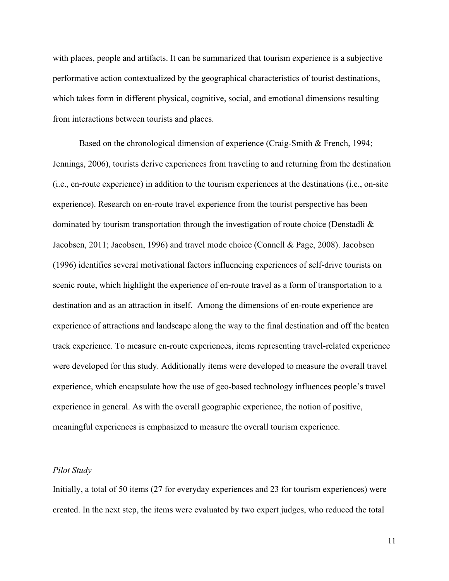with places, people and artifacts. It can be summarized that tourism experience is a subjective performative action contextualized by the geographical characteristics of tourist destinations, which takes form in different physical, cognitive, social, and emotional dimensions resulting from interactions between tourists and places.

Based on the chronological dimension of experience (Craig-Smith & French, 1994; Jennings, 2006), tourists derive experiences from traveling to and returning from the destination (i.e., en-route experience) in addition to the tourism experiences at the destinations (i.e., on-site experience). Research on en-route travel experience from the tourist perspective has been dominated by tourism transportation through the investigation of route choice (Denstadli  $\&$ Jacobsen, 2011; Jacobsen, 1996) and travel mode choice (Connell & Page, 2008). Jacobsen (1996) identifies several motivational factors influencing experiences of self-drive tourists on scenic route, which highlight the experience of en-route travel as a form of transportation to a destination and as an attraction in itself. Among the dimensions of en-route experience are experience of attractions and landscape along the way to the final destination and off the beaten track experience. To measure en-route experiences, items representing travel-related experience were developed for this study. Additionally items were developed to measure the overall travel experience, which encapsulate how the use of geo-based technology influences people's travel experience in general. As with the overall geographic experience, the notion of positive, meaningful experiences is emphasized to measure the overall tourism experience.

#### *Pilot Study*

Initially, a total of 50 items (27 for everyday experiences and 23 for tourism experiences) were created. In the next step, the items were evaluated by two expert judges, who reduced the total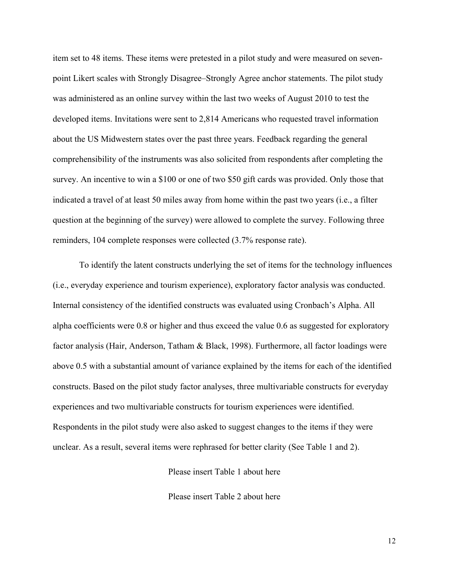item set to 48 items. These items were pretested in a pilot study and were measured on sevenpoint Likert scales with Strongly Disagree–Strongly Agree anchor statements. The pilot study was administered as an online survey within the last two weeks of August 2010 to test the developed items. Invitations were sent to 2,814 Americans who requested travel information about the US Midwestern states over the past three years. Feedback regarding the general comprehensibility of the instruments was also solicited from respondents after completing the survey. An incentive to win a \$100 or one of two \$50 gift cards was provided. Only those that indicated a travel of at least 50 miles away from home within the past two years (i.e., a filter question at the beginning of the survey) were allowed to complete the survey. Following three reminders, 104 complete responses were collected (3.7% response rate).

To identify the latent constructs underlying the set of items for the technology influences (i.e., everyday experience and tourism experience), exploratory factor analysis was conducted. Internal consistency of the identified constructs was evaluated using Cronbach's Alpha. All alpha coefficients were 0.8 or higher and thus exceed the value 0.6 as suggested for exploratory factor analysis (Hair, Anderson, Tatham & Black, 1998). Furthermore, all factor loadings were above 0.5 with a substantial amount of variance explained by the items for each of the identified constructs. Based on the pilot study factor analyses, three multivariable constructs for everyday experiences and two multivariable constructs for tourism experiences were identified. Respondents in the pilot study were also asked to suggest changes to the items if they were unclear. As a result, several items were rephrased for better clarity (See Table 1 and 2).

Please insert Table 1 about here

Please insert Table 2 about here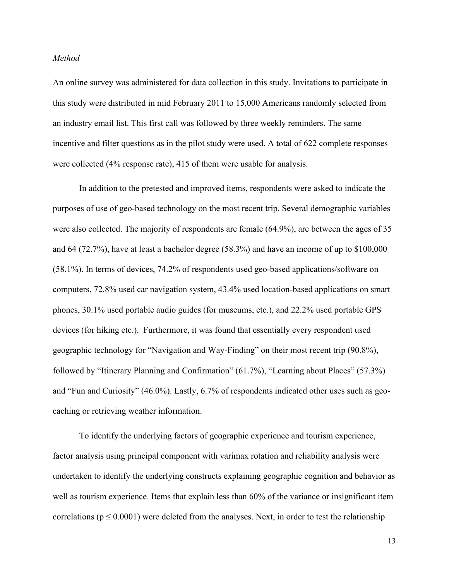### *Method*

An online survey was administered for data collection in this study. Invitations to participate in this study were distributed in mid February 2011 to 15,000 Americans randomly selected from an industry email list. This first call was followed by three weekly reminders. The same incentive and filter questions as in the pilot study were used. A total of 622 complete responses were collected (4% response rate), 415 of them were usable for analysis.

In addition to the pretested and improved items, respondents were asked to indicate the purposes of use of geo-based technology on the most recent trip. Several demographic variables were also collected. The majority of respondents are female (64.9%), are between the ages of 35 and 64 (72.7%), have at least a bachelor degree (58.3%) and have an income of up to \$100,000 (58.1%). In terms of devices, 74.2% of respondents used geo-based applications/software on computers, 72.8% used car navigation system, 43.4% used location-based applications on smart phones, 30.1% used portable audio guides (for museums, etc.), and 22.2% used portable GPS devices (for hiking etc.). Furthermore, it was found that essentially every respondent used geographic technology for "Navigation and Way-Finding" on their most recent trip (90.8%), followed by "Itinerary Planning and Confirmation" (61.7%), "Learning about Places" (57.3%) and "Fun and Curiosity" (46.0%). Lastly, 6.7% of respondents indicated other uses such as geocaching or retrieving weather information.

To identify the underlying factors of geographic experience and tourism experience, factor analysis using principal component with varimax rotation and reliability analysis were undertaken to identify the underlying constructs explaining geographic cognition and behavior as well as tourism experience. Items that explain less than 60% of the variance or insignificant item correlations ( $p \le 0.0001$ ) were deleted from the analyses. Next, in order to test the relationship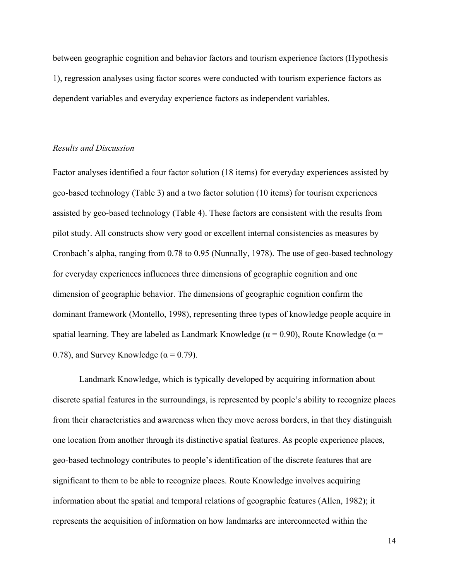between geographic cognition and behavior factors and tourism experience factors (Hypothesis 1), regression analyses using factor scores were conducted with tourism experience factors as dependent variables and everyday experience factors as independent variables.

#### *Results and Discussion*

Factor analyses identified a four factor solution (18 items) for everyday experiences assisted by geo-based technology (Table 3) and a two factor solution (10 items) for tourism experiences assisted by geo-based technology (Table 4). These factors are consistent with the results from pilot study. All constructs show very good or excellent internal consistencies as measures by Cronbach's alpha, ranging from 0.78 to 0.95 (Nunnally, 1978). The use of geo-based technology for everyday experiences influences three dimensions of geographic cognition and one dimension of geographic behavior. The dimensions of geographic cognition confirm the dominant framework (Montello, 1998), representing three types of knowledge people acquire in spatial learning. They are labeled as Landmark Knowledge ( $\alpha$  = 0.90), Route Knowledge ( $\alpha$  = 0.78), and Survey Knowledge ( $\alpha$  = 0.79).

Landmark Knowledge, which is typically developed by acquiring information about discrete spatial features in the surroundings, is represented by people's ability to recognize places from their characteristics and awareness when they move across borders, in that they distinguish one location from another through its distinctive spatial features. As people experience places, geo-based technology contributes to people's identification of the discrete features that are significant to them to be able to recognize places. Route Knowledge involves acquiring information about the spatial and temporal relations of geographic features (Allen, 1982); it represents the acquisition of information on how landmarks are interconnected within the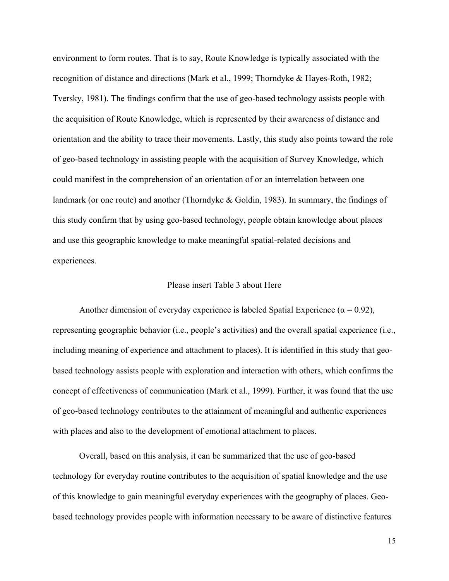environment to form routes. That is to say, Route Knowledge is typically associated with the recognition of distance and directions (Mark et al., 1999; Thorndyke & Hayes-Roth, 1982; Tversky, 1981). The findings confirm that the use of geo-based technology assists people with the acquisition of Route Knowledge, which is represented by their awareness of distance and orientation and the ability to trace their movements. Lastly, this study also points toward the role of geo-based technology in assisting people with the acquisition of Survey Knowledge, which could manifest in the comprehension of an orientation of or an interrelation between one landmark (or one route) and another (Thorndyke & Goldin, 1983). In summary, the findings of this study confirm that by using geo-based technology, people obtain knowledge about places and use this geographic knowledge to make meaningful spatial-related decisions and experiences.

#### Please insert Table 3 about Here

Another dimension of everyday experience is labeled Spatial Experience ( $\alpha = 0.92$ ), representing geographic behavior (i.e., people's activities) and the overall spatial experience (i.e., including meaning of experience and attachment to places). It is identified in this study that geobased technology assists people with exploration and interaction with others, which confirms the concept of effectiveness of communication (Mark et al., 1999). Further, it was found that the use of geo-based technology contributes to the attainment of meaningful and authentic experiences with places and also to the development of emotional attachment to places.

Overall, based on this analysis, it can be summarized that the use of geo-based technology for everyday routine contributes to the acquisition of spatial knowledge and the use of this knowledge to gain meaningful everyday experiences with the geography of places. Geobased technology provides people with information necessary to be aware of distinctive features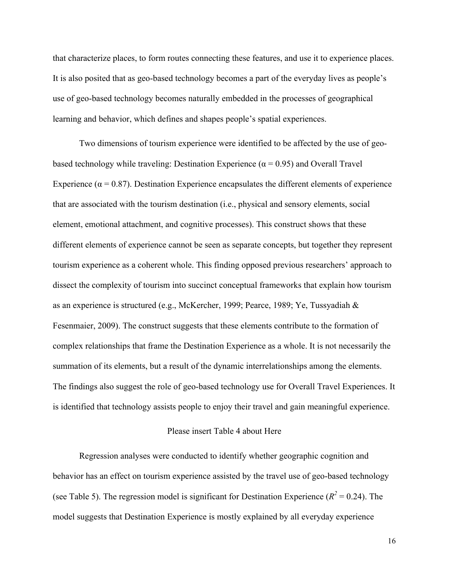that characterize places, to form routes connecting these features, and use it to experience places. It is also posited that as geo-based technology becomes a part of the everyday lives as people's use of geo-based technology becomes naturally embedded in the processes of geographical learning and behavior, which defines and shapes people's spatial experiences.

Two dimensions of tourism experience were identified to be affected by the use of geobased technology while traveling: Destination Experience ( $\alpha$  = 0.95) and Overall Travel Experience ( $\alpha$  = 0.87). Destination Experience encapsulates the different elements of experience that are associated with the tourism destination (i.e., physical and sensory elements, social element, emotional attachment, and cognitive processes). This construct shows that these different elements of experience cannot be seen as separate concepts, but together they represent tourism experience as a coherent whole. This finding opposed previous researchers' approach to dissect the complexity of tourism into succinct conceptual frameworks that explain how tourism as an experience is structured (e.g., McKercher, 1999; Pearce, 1989; Ye, Tussyadiah & Fesenmaier, 2009). The construct suggests that these elements contribute to the formation of complex relationships that frame the Destination Experience as a whole. It is not necessarily the summation of its elements, but a result of the dynamic interrelationships among the elements. The findings also suggest the role of geo-based technology use for Overall Travel Experiences. It is identified that technology assists people to enjoy their travel and gain meaningful experience.

## Please insert Table 4 about Here

Regression analyses were conducted to identify whether geographic cognition and behavior has an effect on tourism experience assisted by the travel use of geo-based technology (see Table 5). The regression model is significant for Destination Experience ( $R^2 = 0.24$ ). The model suggests that Destination Experience is mostly explained by all everyday experience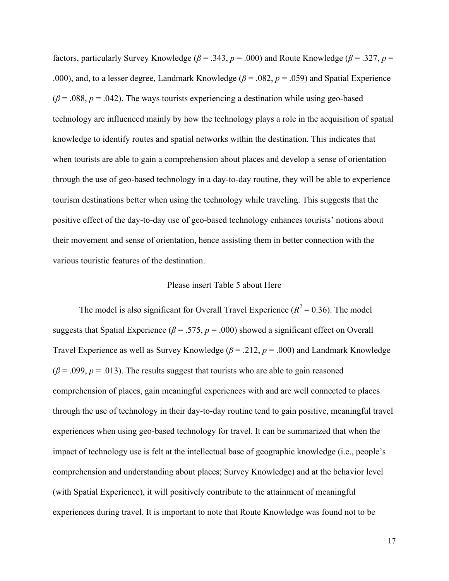factors, particularly Survey Knowledge ( $\beta$  = .343,  $p$  = .000) and Route Knowledge ( $\beta$  = .327,  $p$  = .000), and, to a lesser degree, Landmark Knowledge ( $\beta$  = .082,  $p$  = .059) and Spatial Experience  $(\beta = .088, p = .042)$ . The ways tourists experiencing a destination while using geo-based technology are influenced mainly by how the technology plays a role in the acquisition of spatial knowledge to identify routes and spatial networks within the destination. This indicates that when tourists are able to gain a comprehension about places and develop a sense of orientation through the use of geo-based technology in a day-to-day routine, they will be able to experience tourism destinations better when using the technology while traveling. This suggests that the positive effect of the day-to-day use of geo-based technology enhances tourists' notions about their movement and sense of orientation, hence assisting them in better connection with the various touristic features of the destination.

#### Please insert Table 5 about Here

The model is also significant for Overall Travel Experience  $(R^2 = 0.36)$ . The model suggests that Spatial Experience ( $\beta$  = .575,  $p$  = .000) showed a significant effect on Overall Travel Experience as well as Survey Knowledge (*β* = .212, *p* = .000) and Landmark Knowledge  $(\beta = .099, p = .013)$ . The results suggest that tourists who are able to gain reasoned comprehension of places, gain meaningful experiences with and are well connected to places through the use of technology in their day-to-day routine tend to gain positive, meaningful travel experiences when using geo-based technology for travel. It can be summarized that when the impact of technology use is felt at the intellectual base of geographic knowledge (i.e., people's comprehension and understanding about places; Survey Knowledge) and at the behavior level (with Spatial Experience), it will positively contribute to the attainment of meaningful experiences during travel. It is important to note that Route Knowledge was found not to be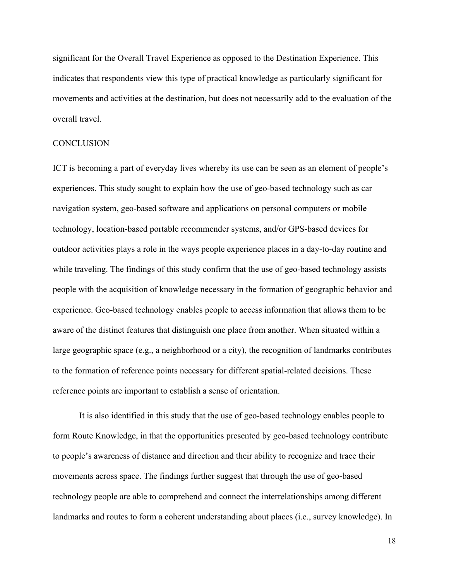significant for the Overall Travel Experience as opposed to the Destination Experience. This indicates that respondents view this type of practical knowledge as particularly significant for movements and activities at the destination, but does not necessarily add to the evaluation of the overall travel.

#### **CONCLUSION**

ICT is becoming a part of everyday lives whereby its use can be seen as an element of people's experiences. This study sought to explain how the use of geo-based technology such as car navigation system, geo-based software and applications on personal computers or mobile technology, location-based portable recommender systems, and/or GPS-based devices for outdoor activities plays a role in the ways people experience places in a day-to-day routine and while traveling. The findings of this study confirm that the use of geo-based technology assists people with the acquisition of knowledge necessary in the formation of geographic behavior and experience. Geo-based technology enables people to access information that allows them to be aware of the distinct features that distinguish one place from another. When situated within a large geographic space (e.g., a neighborhood or a city), the recognition of landmarks contributes to the formation of reference points necessary for different spatial-related decisions. These reference points are important to establish a sense of orientation.

It is also identified in this study that the use of geo-based technology enables people to form Route Knowledge, in that the opportunities presented by geo-based technology contribute to people's awareness of distance and direction and their ability to recognize and trace their movements across space. The findings further suggest that through the use of geo-based technology people are able to comprehend and connect the interrelationships among different landmarks and routes to form a coherent understanding about places (i.e., survey knowledge). In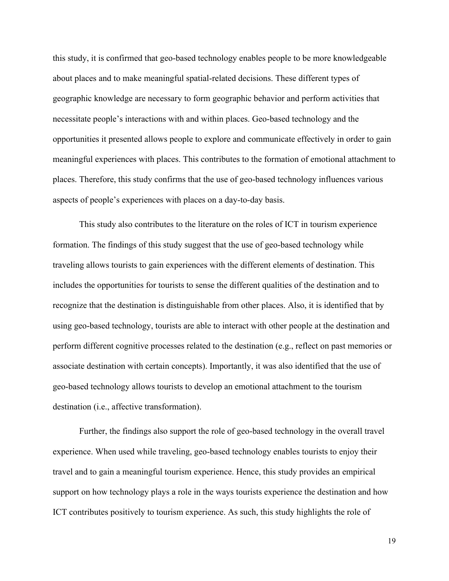this study, it is confirmed that geo-based technology enables people to be more knowledgeable about places and to make meaningful spatial-related decisions. These different types of geographic knowledge are necessary to form geographic behavior and perform activities that necessitate people's interactions with and within places. Geo-based technology and the opportunities it presented allows people to explore and communicate effectively in order to gain meaningful experiences with places. This contributes to the formation of emotional attachment to places. Therefore, this study confirms that the use of geo-based technology influences various aspects of people's experiences with places on a day-to-day basis.

This study also contributes to the literature on the roles of ICT in tourism experience formation. The findings of this study suggest that the use of geo-based technology while traveling allows tourists to gain experiences with the different elements of destination. This includes the opportunities for tourists to sense the different qualities of the destination and to recognize that the destination is distinguishable from other places. Also, it is identified that by using geo-based technology, tourists are able to interact with other people at the destination and perform different cognitive processes related to the destination (e.g., reflect on past memories or associate destination with certain concepts). Importantly, it was also identified that the use of geo-based technology allows tourists to develop an emotional attachment to the tourism destination (i.e., affective transformation).

Further, the findings also support the role of geo-based technology in the overall travel experience. When used while traveling, geo-based technology enables tourists to enjoy their travel and to gain a meaningful tourism experience. Hence, this study provides an empirical support on how technology plays a role in the ways tourists experience the destination and how ICT contributes positively to tourism experience. As such, this study highlights the role of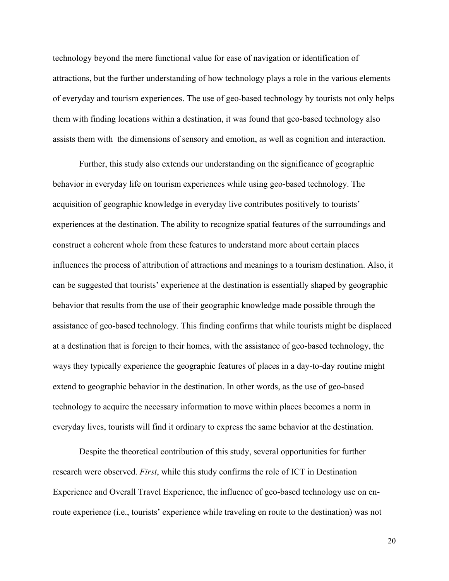technology beyond the mere functional value for ease of navigation or identification of attractions, but the further understanding of how technology plays a role in the various elements of everyday and tourism experiences. The use of geo-based technology by tourists not only helps them with finding locations within a destination, it was found that geo-based technology also assists them with the dimensions of sensory and emotion, as well as cognition and interaction.

Further, this study also extends our understanding on the significance of geographic behavior in everyday life on tourism experiences while using geo-based technology. The acquisition of geographic knowledge in everyday live contributes positively to tourists' experiences at the destination. The ability to recognize spatial features of the surroundings and construct a coherent whole from these features to understand more about certain places influences the process of attribution of attractions and meanings to a tourism destination. Also, it can be suggested that tourists' experience at the destination is essentially shaped by geographic behavior that results from the use of their geographic knowledge made possible through the assistance of geo-based technology. This finding confirms that while tourists might be displaced at a destination that is foreign to their homes, with the assistance of geo-based technology, the ways they typically experience the geographic features of places in a day-to-day routine might extend to geographic behavior in the destination. In other words, as the use of geo-based technology to acquire the necessary information to move within places becomes a norm in everyday lives, tourists will find it ordinary to express the same behavior at the destination.

Despite the theoretical contribution of this study, several opportunities for further research were observed. *First*, while this study confirms the role of ICT in Destination Experience and Overall Travel Experience, the influence of geo-based technology use on enroute experience (i.e., tourists' experience while traveling en route to the destination) was not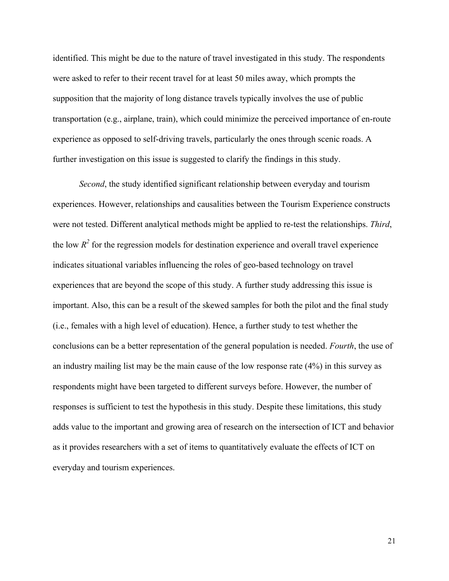identified. This might be due to the nature of travel investigated in this study. The respondents were asked to refer to their recent travel for at least 50 miles away, which prompts the supposition that the majority of long distance travels typically involves the use of public transportation (e.g., airplane, train), which could minimize the perceived importance of en-route experience as opposed to self-driving travels, particularly the ones through scenic roads. A further investigation on this issue is suggested to clarify the findings in this study.

*Second*, the study identified significant relationship between everyday and tourism experiences. However, relationships and causalities between the Tourism Experience constructs were not tested. Different analytical methods might be applied to re-test the relationships. *Third*, the low  $R^2$  for the regression models for destination experience and overall travel experience indicates situational variables influencing the roles of geo-based technology on travel experiences that are beyond the scope of this study. A further study addressing this issue is important. Also, this can be a result of the skewed samples for both the pilot and the final study (i.e., females with a high level of education). Hence, a further study to test whether the conclusions can be a better representation of the general population is needed. *Fourth*, the use of an industry mailing list may be the main cause of the low response rate (4%) in this survey as respondents might have been targeted to different surveys before. However, the number of responses is sufficient to test the hypothesis in this study. Despite these limitations, this study adds value to the important and growing area of research on the intersection of ICT and behavior as it provides researchers with a set of items to quantitatively evaluate the effects of ICT on everyday and tourism experiences.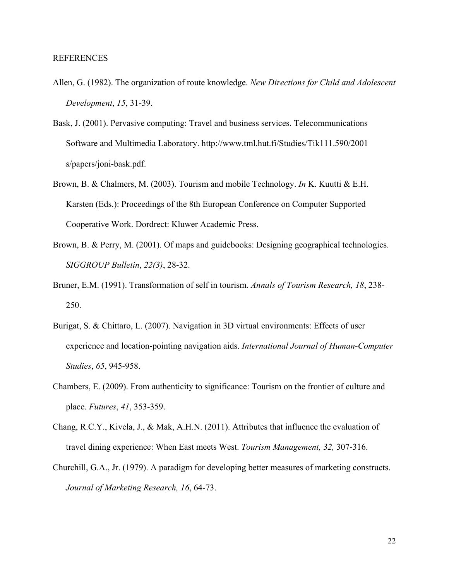#### REFERENCES

- Allen, G. (1982). The organization of route knowledge. *New Directions for Child and Adolescent Development*, *15*, 31-39.
- Bask, J. (2001). Pervasive computing: Travel and business services. Telecommunications Software and Multimedia Laboratory. http://www.tml.hut.fi/Studies/Tik111.590/2001 s/papers/joni-bask.pdf.
- Brown, B. & Chalmers, M. (2003). Tourism and mobile Technology. *In* K. Kuutti & E.H. Karsten (Eds.): Proceedings of the 8th European Conference on Computer Supported Cooperative Work. Dordrect: Kluwer Academic Press.
- Brown, B. & Perry, M. (2001). Of maps and guidebooks: Designing geographical technologies. *SIGGROUP Bulletin*, *22(3)*, 28-32.
- Bruner, E.M. (1991). Transformation of self in tourism. *Annals of Tourism Research, 18*, 238- 250.
- Burigat, S. & Chittaro, L. (2007). Navigation in 3D virtual environments: Effects of user experience and location-pointing navigation aids. *International Journal of Human-Computer Studies*, *65*, 945-958.
- Chambers, E. (2009). From authenticity to significance: Tourism on the frontier of culture and place. *Futures*, *41*, 353-359.
- Chang, R.C.Y., Kivela, J., & Mak, A.H.N. (2011). Attributes that influence the evaluation of travel dining experience: When East meets West. *Tourism Management, 32,* 307-316.
- Churchill, G.A., Jr. (1979). A paradigm for developing better measures of marketing constructs. *Journal of Marketing Research, 16*, 64-73.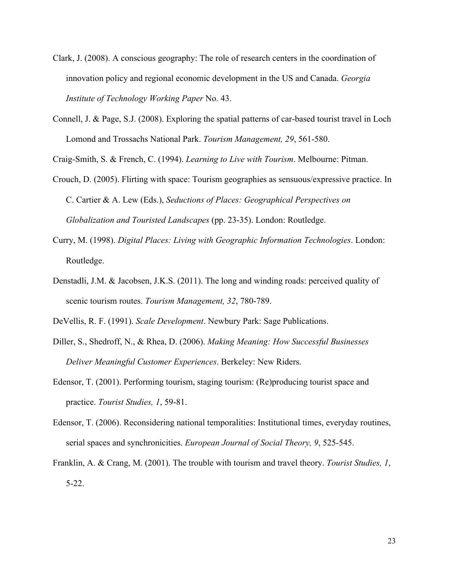- Clark, J. (2008). A conscious geography: The role of research centers in the coordination of innovation policy and regional economic development in the US and Canada. *Georgia Institute of Technology Working Paper* No. 43.
- Connell, J. & Page, S.J. (2008). Exploring the spatial patterns of car-based tourist travel in Loch Lomond and Trossachs National Park. *Tourism Management, 29*, 561-580.

Craig-Smith, S. & French, C. (1994). *Learning to Live with Tourism*. Melbourne: Pitman.

- Crouch, D. (2005). Flirting with space: Tourism geographies as sensuous/expressive practice. In C. Cartier & A. Lew (Eds.), *Seductions of Places: Geographical Perspectives on Globalization and Touristed Landscapes* (pp. 23-35). London: Routledge.
- Curry, M. (1998). *Digital Places: Living with Geographic Information Technologies*. London: Routledge.
- Denstadli, J.M. & Jacobsen, J.K.S. (2011). The long and winding roads: perceived quality of scenic tourism routes. *Tourism Management, 32*, 780-789.

DeVellis, R. F. (1991). *Scale Development*. Newbury Park: Sage Publications.

- Diller, S., Shedroff, N., & Rhea, D. (2006). *Making Meaning: How Successful Businesses Deliver Meaningful Customer Experiences*. Berkeley: New Riders.
- Edensor, T. (2001). Performing tourism, staging tourism: (Re)producing tourist space and practice. *Tourist Studies, 1*, 59-81.
- Edensor, T. (2006). Reconsidering national temporalities: Institutional times, everyday routines, serial spaces and synchronicities. *European Journal of Social Theory, 9*, 525-545.
- Franklin, A. & Crang, M. (2001). The trouble with tourism and travel theory. *Tourist Studies, 1*, 5-22.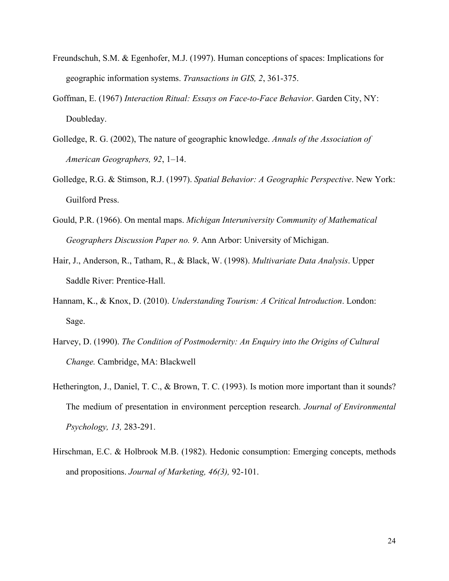- Freundschuh, S.M. & Egenhofer, M.J. (1997). Human conceptions of spaces: Implications for geographic information systems. *Transactions in GIS, 2*, 361-375.
- Goffman, E. (1967) *Interaction Ritual: Essays on Face-to-Face Behavior*. Garden City, NY: Doubleday.
- Golledge, R. G. (2002), The nature of geographic knowledge. *Annals of the Association of American Geographers, 92*, 1–14.
- Golledge, R.G. & Stimson, R.J. (1997). *Spatial Behavior: A Geographic Perspective*. New York: Guilford Press.
- Gould, P.R. (1966). On mental maps. *Michigan Interuniversity Community of Mathematical Geographers Discussion Paper no. 9*. Ann Arbor: University of Michigan.
- Hair, J., Anderson, R., Tatham, R., & Black, W. (1998). *Multivariate Data Analysis*. Upper Saddle River: Prentice-Hall.
- Hannam, K., & Knox, D. (2010). *Understanding Tourism: A Critical Introduction*. London: Sage.
- Harvey, D. (1990). *The Condition of Postmodernity: An Enquiry into the Origins of Cultural Change.* Cambridge, MA: Blackwell
- Hetherington, J., Daniel, T. C., & Brown, T. C. (1993). Is motion more important than it sounds? The medium of presentation in environment perception research. *Journal of Environmental Psychology, 13,* 283-291.
- Hirschman, E.C. & Holbrook M.B. (1982). Hedonic consumption: Emerging concepts, methods and propositions. *Journal of Marketing, 46(3),* 92-101.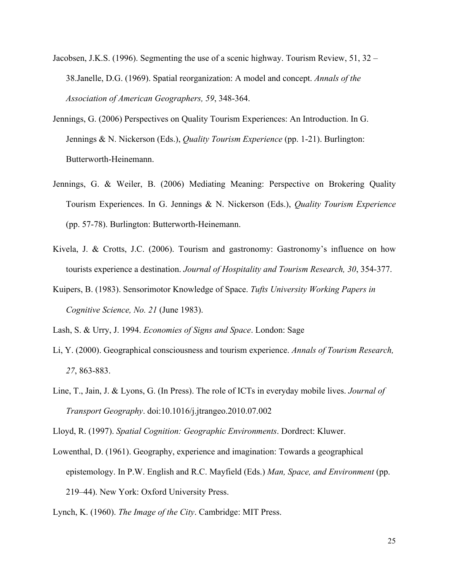- Jacobsen, J.K.S. (1996). Segmenting the use of a scenic highway. Tourism Review, 51, 32 38.Janelle, D.G. (1969). Spatial reorganization: A model and concept. *Annals of the Association of American Geographers, 59*, 348-364.
- Jennings, G. (2006) Perspectives on Quality Tourism Experiences: An Introduction. In G. Jennings & N. Nickerson (Eds.), *Quality Tourism Experience* (pp. 1-21). Burlington: Butterworth-Heinemann.
- Jennings, G. & Weiler, B. (2006) Mediating Meaning: Perspective on Brokering Quality Tourism Experiences. In G. Jennings & N. Nickerson (Eds.), *Quality Tourism Experience* (pp. 57-78). Burlington: Butterworth-Heinemann.
- Kivela, J. & Crotts, J.C. (2006). Tourism and gastronomy: Gastronomy's influence on how tourists experience a destination. *Journal of Hospitality and Tourism Research, 30*, 354-377.
- Kuipers, B. (1983). Sensorimotor Knowledge of Space. *Tufts University Working Papers in Cognitive Science, No. 21* (June 1983).

Lash, S. & Urry, J. 1994. *Economies of Signs and Space*. London: Sage

- Li, Y. (2000). Geographical consciousness and tourism experience. *Annals of Tourism Research, 27*, 863-883.
- Line, T., Jain, J. & Lyons, G. (In Press). The role of ICTs in everyday mobile lives. *Journal of Transport Geography*. doi:10.1016/j.jtrangeo.2010.07.002

Lloyd, R. (1997). *Spatial Cognition: Geographic Environments*. Dordrect: Kluwer.

- Lowenthal, D. (1961). Geography, experience and imagination: Towards a geographical epistemology. In P.W. English and R.C. Mayfield (Eds.) *Man, Space, and Environment* (pp. 219–44). New York: Oxford University Press.
- Lynch, K. (1960). *The Image of the City*. Cambridge: MIT Press.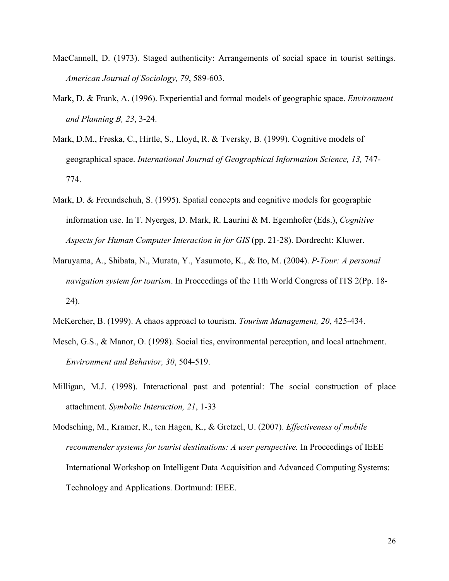- MacCannell, D. (1973). Staged authenticity: Arrangements of social space in tourist settings. *American Journal of Sociology, 79*, 589-603.
- Mark, D. & Frank, A. (1996). Experiential and formal models of geographic space. *Environment and Planning B, 23*, 3-24.
- Mark, D.M., Freska, C., Hirtle, S., Lloyd, R. & Tversky, B. (1999). Cognitive models of geographical space. *International Journal of Geographical Information Science, 13,* 747- 774.
- Mark, D. & Freundschuh, S. (1995). Spatial concepts and cognitive models for geographic information use. In T. Nyerges, D. Mark, R. Laurini & M. Egemhofer (Eds.), *Cognitive Aspects for Human Computer Interaction in for GIS* (pp. 21-28). Dordrecht: Kluwer.
- Maruyama, A., Shibata, N., Murata, Y., Yasumoto, K., & Ito, M. (2004). *P-Tour: A personal navigation system for tourism*. In Proceedings of the 11th World Congress of ITS 2(Pp. 18- 24).
- McKercher, B. (1999). A chaos approacl to tourism. *Tourism Management, 20*, 425-434.
- Mesch, G.S., & Manor, O. (1998). Social ties, environmental perception, and local attachment. *Environment and Behavior, 30*, 504-519.
- Milligan, M.J. (1998). Interactional past and potential: The social construction of place attachment. *Symbolic Interaction, 21*, 1-33
- Modsching, M., Kramer, R., ten Hagen, K., & Gretzel, U. (2007). *Effectiveness of mobile recommender systems for tourist destinations: A user perspective.* In Proceedings of IEEE International Workshop on Intelligent Data Acquisition and Advanced Computing Systems: Technology and Applications. Dortmund: IEEE.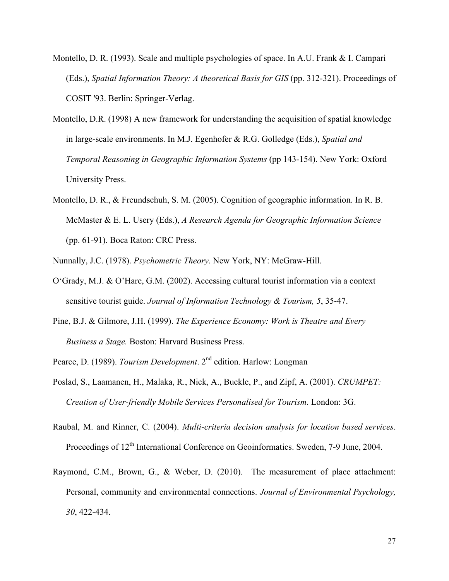- Montello, D. R. (1993). Scale and multiple psychologies of space. In A.U. Frank & I. Campari (Eds.), *Spatial Information Theory: A theoretical Basis for GIS* (pp. 312-321). Proceedings of COSIT '93. Berlin: Springer-Verlag.
- Montello, D.R. (1998) A new framework for understanding the acquisition of spatial knowledge in large-scale environments. In M.J. Egenhofer & R.G. Golledge (Eds.), *Spatial and Temporal Reasoning in Geographic Information Systems* (pp 143-154). New York: Oxford University Press.
- Montello, D. R., & Freundschuh, S. M. (2005). Cognition of geographic information. In R. B. McMaster & E. L. Usery (Eds.), *A Research Agenda for Geographic Information Science* (pp. 61-91). Boca Raton: CRC Press.
- Nunnally, J.C. (1978). *Psychometric Theory*. New York, NY: McGraw-Hill.
- O'Grady, M.J. & O'Hare, G.M. (2002). Accessing cultural tourist information via a context sensitive tourist guide. *Journal of Information Technology & Tourism, 5*, 35-47.
- Pine, B.J. & Gilmore, J.H. (1999). *The Experience Economy: Work is Theatre and Every Business a Stage.* Boston: Harvard Business Press.
- Pearce, D. (1989). *Tourism Development*. 2nd edition. Harlow: Longman
- Poslad, S., Laamanen, H., Malaka, R., Nick, A., Buckle, P., and Zipf, A. (2001). *CRUMPET: Creation of User-friendly Mobile Services Personalised for Tourism*. London: 3G.
- Raubal, M. and Rinner, C. (2004). *Multi-criteria decision analysis for location based services*. Proceedings of 12<sup>th</sup> International Conference on Geoinformatics. Sweden, 7-9 June, 2004.
- Raymond, C.M., Brown, G., & Weber, D. (2010). The measurement of place attachment: Personal, community and environmental connections. *Journal of Environmental Psychology, 30*, 422-434.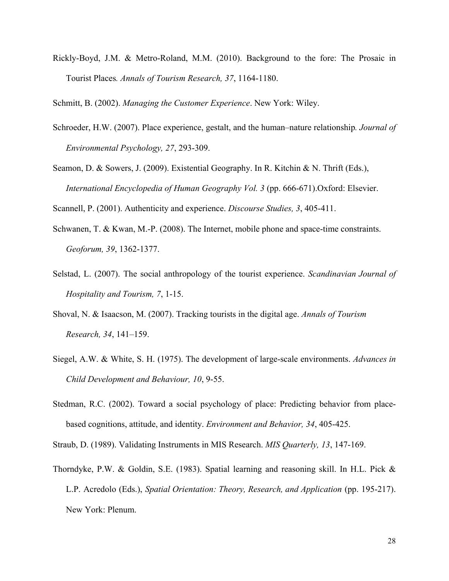Rickly-Boyd, J.M. & Metro-Roland, M.M. (2010). Background to the fore: The Prosaic in Tourist Places*. Annals of Tourism Research, 37*, 1164-1180.

Schmitt, B. (2002). *Managing the Customer Experience*. New York: Wiley.

- Schroeder, H.W. (2007). Place experience, gestalt, and the human–nature relationship*. Journal of Environmental Psychology, 27*, 293-309.
- Seamon, D. & Sowers, J. (2009). Existential Geography. In R. Kitchin & N. Thrift (Eds.), *International Encyclopedia of Human Geography Vol. 3* (pp. 666-671).Oxford: Elsevier.

Scannell, P. (2001). Authenticity and experience. *Discourse Studies, 3*, 405-411.

- Schwanen, T. & Kwan, M.-P. (2008). The Internet, mobile phone and space-time constraints. *Geoforum, 39*, 1362-1377.
- Selstad, L. (2007). The social anthropology of the tourist experience. *Scandinavian Journal of Hospitality and Tourism, 7*, 1-15.
- Shoval, N. & Isaacson, M. (2007). Tracking tourists in the digital age. *Annals of Tourism Research, 34*, 141–159.
- Siegel, A.W. & White, S. H. (1975). The development of large-scale environments. *Advances in Child Development and Behaviour, 10*, 9-55.
- Stedman, R.C. (2002). Toward a social psychology of place: Predicting behavior from placebased cognitions, attitude, and identity. *Environment and Behavior, 34*, 405-425.

Straub, D. (1989). Validating Instruments in MIS Research. *MIS Quarterly, 13*, 147-169.

Thorndyke, P.W. & Goldin, S.E. (1983). Spatial learning and reasoning skill. In H.L. Pick & L.P. Acredolo (Eds.), *Spatial Orientation: Theory, Research, and Application* (pp. 195-217). New York: Plenum.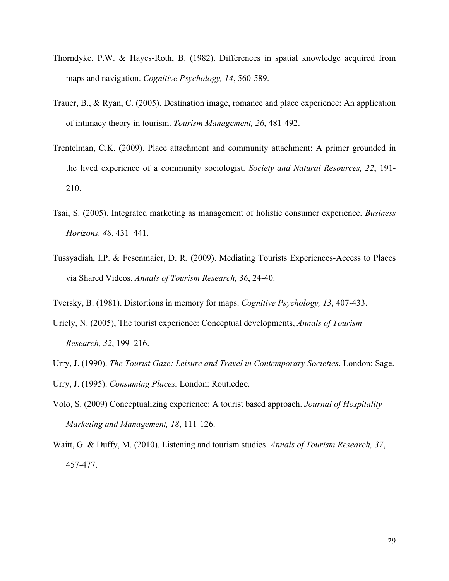- Thorndyke, P.W. & Hayes-Roth, B. (1982). Differences in spatial knowledge acquired from maps and navigation. *Cognitive Psychology, 14*, 560-589.
- Trauer, B., & Ryan, C. (2005). Destination image, romance and place experience: An application of intimacy theory in tourism. *Tourism Management, 26*, 481-492.
- Trentelman, C.K. (2009). Place attachment and community attachment: A primer grounded in the lived experience of a community sociologist. *Society and Natural Resources, 22*, 191- 210.
- Tsai, S. (2005). Integrated marketing as management of holistic consumer experience. *Business Horizons. 48*, 431–441.
- Tussyadiah, I.P. & Fesenmaier, D. R. (2009). Mediating Tourists Experiences-Access to Places via Shared Videos. *Annals of Tourism Research, 36*, 24-40.
- Tversky, B. (1981). Distortions in memory for maps. *Cognitive Psychology, 13*, 407-433.
- Uriely, N. (2005), The tourist experience: Conceptual developments, *Annals of Tourism Research, 32*, 199–216.
- Urry, J. (1990). *The Tourist Gaze: Leisure and Travel in Contemporary Societies*. London: Sage.
- Urry, J. (1995). *Consuming Places.* London: Routledge.
- Volo, S. (2009) Conceptualizing experience: A tourist based approach. *Journal of Hospitality Marketing and Management, 18*, 111-126.
- Waitt, G. & Duffy, M. (2010). Listening and tourism studies. *Annals of Tourism Research, 37*, 457-477.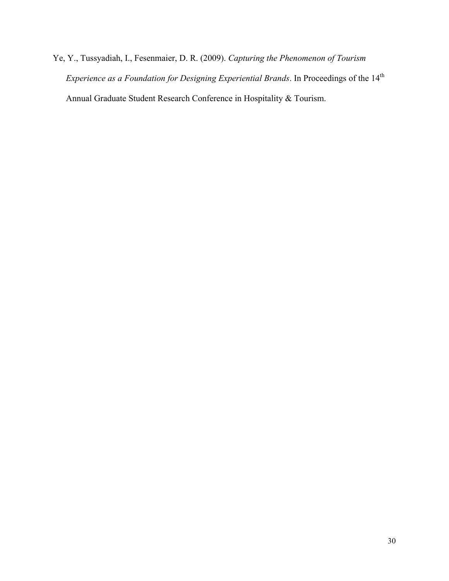Ye, Y., Tussyadiah, I., Fesenmaier, D. R. (2009). *Capturing the Phenomenon of Tourism Experience as a Foundation for Designing Experiential Brands*. In Proceedings of the 14<sup>th</sup> Annual Graduate Student Research Conference in Hospitality & Tourism.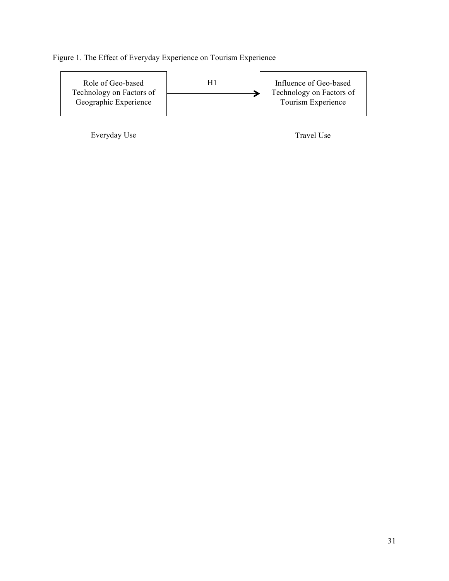Figure 1. The Effect of Everyday Experience on Tourism Experience

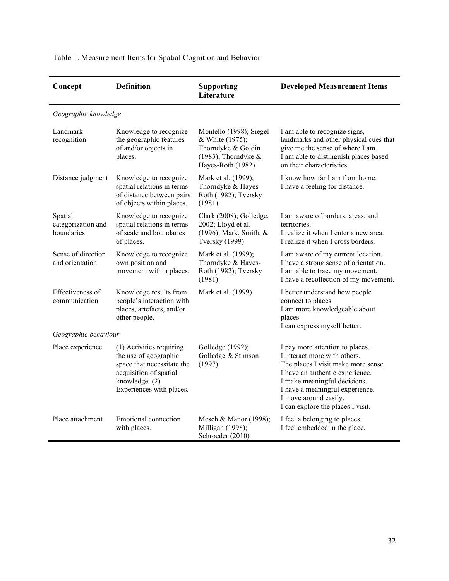| Concept                                     | <b>Definition</b>                                                                                                                                       | <b>Supporting</b><br>Literature                                                                                 | <b>Developed Measurement Items</b>                                                                                                                                                                                                                                         |
|---------------------------------------------|---------------------------------------------------------------------------------------------------------------------------------------------------------|-----------------------------------------------------------------------------------------------------------------|----------------------------------------------------------------------------------------------------------------------------------------------------------------------------------------------------------------------------------------------------------------------------|
| Geographic knowledge                        |                                                                                                                                                         |                                                                                                                 |                                                                                                                                                                                                                                                                            |
| Landmark<br>recognition                     | Knowledge to recognize<br>the geographic features<br>of and/or objects in<br>places.                                                                    | Montello (1998); Siegel<br>& White (1975);<br>Thorndyke & Goldin<br>(1983); Thorndyke $\&$<br>Hayes-Roth (1982) | I am able to recognize signs,<br>landmarks and other physical cues that<br>give me the sense of where I am.<br>I am able to distinguish places based<br>on their characteristics.                                                                                          |
| Distance judgment                           | Knowledge to recognize<br>spatial relations in terms<br>of distance between pairs<br>of objects within places.                                          | Mark et al. (1999);<br>Thorndyke & Hayes-<br>Roth (1982); Tversky<br>(1981)                                     | I know how far I am from home.<br>I have a feeling for distance.                                                                                                                                                                                                           |
| Spatial<br>categorization and<br>boundaries | Knowledge to recognize<br>spatial relations in terms<br>of scale and boundaries<br>of places.                                                           | Clark (2008); Golledge,<br>2002; Lloyd et al.<br>(1996); Mark, Smith, &<br><b>Tversky</b> (1999)                | I am aware of borders, areas, and<br>territories.<br>I realize it when I enter a new area.<br>I realize it when I cross borders.                                                                                                                                           |
| Sense of direction<br>and orientation       | Knowledge to recognize<br>own position and<br>movement within places.                                                                                   | Mark et al. (1999);<br>Thorndyke & Hayes-<br>Roth (1982); Tversky<br>(1981)                                     | I am aware of my current location.<br>I have a strong sense of orientation.<br>I am able to trace my movement.<br>I have a recollection of my movement.                                                                                                                    |
| Effectiveness of<br>communication           | Knowledge results from<br>people's interaction with<br>places, artefacts, and/or<br>other people.                                                       | Mark et al. (1999)                                                                                              | I better understand how people<br>connect to places.<br>I am more knowledgeable about<br>places.<br>I can express myself better.                                                                                                                                           |
| Geographic behaviour                        |                                                                                                                                                         |                                                                                                                 |                                                                                                                                                                                                                                                                            |
| Place experience                            | (1) Activities requiring<br>the use of geographic<br>space that necessitate the<br>acquisition of spatial<br>knowledge. (2)<br>Experiences with places. | Golledge (1992);<br>Golledge & Stimson<br>(1997)                                                                | I pay more attention to places.<br>I interact more with others.<br>The places I visit make more sense.<br>I have an authentic experience.<br>I make meaningful decisions.<br>I have a meaningful experience.<br>I move around easily.<br>I can explore the places I visit. |
| Place attachment                            | <b>Emotional</b> connection<br>with places.                                                                                                             | Mesch & Manor (1998);<br>Milligan (1998);<br>Schroeder (2010)                                                   | I feel a belonging to places.<br>I feel embedded in the place.                                                                                                                                                                                                             |

Table 1. Measurement Items for Spatial Cognition and Behavior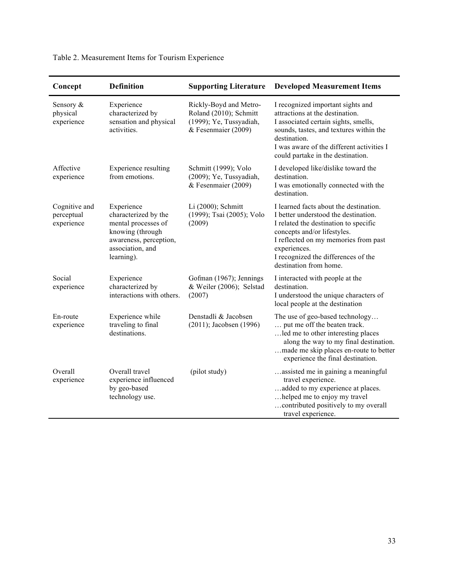| Concept                                   | <b>Definition</b>                                                                                                                         | <b>Supporting Literature</b>                                                                       | <b>Developed Measurement Items</b>                                                                                                                                                                                                                                              |
|-------------------------------------------|-------------------------------------------------------------------------------------------------------------------------------------------|----------------------------------------------------------------------------------------------------|---------------------------------------------------------------------------------------------------------------------------------------------------------------------------------------------------------------------------------------------------------------------------------|
| Sensory &<br>physical<br>experience       | Experience<br>characterized by<br>sensation and physical<br>activities.                                                                   | Rickly-Boyd and Metro-<br>Roland (2010); Schmitt<br>(1999); Ye, Tussyadiah,<br>& Fesenmaier (2009) | I recognized important sights and<br>attractions at the destination.<br>I associated certain sights, smells,<br>sounds, tastes, and textures within the<br>destination.<br>I was aware of the different activities I<br>could partake in the destination.                       |
| Affective<br>experience                   | <b>Experience resulting</b><br>from emotions.                                                                                             | Schmitt (1999); Volo<br>(2009); Ye, Tussyadiah,<br>& Fesenmaier (2009)                             | I developed like/dislike toward the<br>destination.<br>I was emotionally connected with the<br>destination.                                                                                                                                                                     |
| Cognitive and<br>perceptual<br>experience | Experience<br>characterized by the<br>mental processes of<br>knowing (through<br>awareness, perception,<br>association, and<br>learning). | Li (2000); Schmitt<br>(1999); Tsai (2005); Volo<br>(2009)                                          | I learned facts about the destination.<br>I better understood the destination.<br>I related the destination to specific<br>concepts and/or lifestyles.<br>I reflected on my memories from past<br>experiences.<br>I recognized the differences of the<br>destination from home. |
| Social<br>experience                      | Experience<br>characterized by<br>interactions with others.                                                                               | Gofman (1967); Jennings<br>& Weiler (2006); Selstad<br>(2007)                                      | I interacted with people at the<br>destination.<br>I understood the unique characters of<br>local people at the destination                                                                                                                                                     |
| En-route<br>experience                    | Experience while<br>traveling to final<br>destinations.                                                                                   | Denstadli & Jacobsen<br>(2011); Jacobsen (1996)                                                    | The use of geo-based technology<br>put me off the beaten track.<br>led me to other interesting places<br>along the way to my final destination.<br>made me skip places en-route to better<br>experience the final destination.                                                  |
| Overall<br>experience                     | Overall travel<br>experience influenced<br>by geo-based<br>technology use.                                                                | (pilot study)                                                                                      | assisted me in gaining a meaningful<br>travel experience.<br>added to my experience at places.<br>helped me to enjoy my travel<br>contributed positively to my overall<br>travel experience.                                                                                    |

# Table 2. Measurement Items for Tourism Experience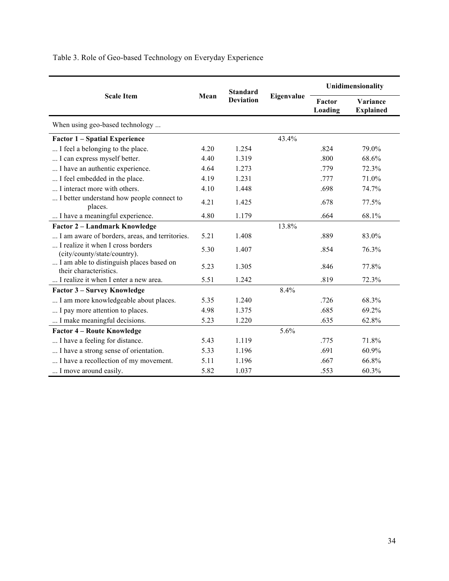|                                                                    |      | <b>Standard</b>  |            | Unidimensionality |                              |
|--------------------------------------------------------------------|------|------------------|------------|-------------------|------------------------------|
| <b>Scale Item</b>                                                  | Mean | <b>Deviation</b> | Eigenvalue | Factor<br>Loading | Variance<br><b>Explained</b> |
| When using geo-based technology                                    |      |                  |            |                   |                              |
| <b>Factor 1 - Spatial Experience</b>                               |      |                  | 43.4%      |                   |                              |
| I feel a belonging to the place.                                   | 4.20 | 1.254            |            | .824              | 79.0%                        |
| I can express myself better.                                       | 4.40 | 1.319            |            | .800              | 68.6%                        |
| I have an authentic experience.                                    | 4.64 | 1.273            |            | .779              | 72.3%                        |
| I feel embedded in the place.                                      | 4.19 | 1.231            |            | .777              | 71.0%                        |
| I interact more with others.                                       | 4.10 | 1.448            |            | .698              | 74.7%                        |
| I better understand how people connect to<br>places.               | 4.21 | 1.425            |            | .678              | 77.5%                        |
| I have a meaningful experience.                                    | 4.80 | 1.179            |            | .664              | 68.1%                        |
| <b>Factor 2 - Landmark Knowledge</b>                               |      |                  | 13.8%      |                   |                              |
| I am aware of borders, areas, and territories.                     | 5.21 | 1.408            |            | .889              | 83.0%                        |
| I realize it when I cross borders<br>(city/county/state/country).  | 5.30 | 1.407            |            | .854              | 76.3%                        |
| I am able to distinguish places based on<br>their characteristics. | 5.23 | 1.305            |            | .846              | 77.8%                        |
| I realize it when I enter a new area.                              | 5.51 | 1.242            |            | .819              | 72.3%                        |
| <b>Factor 3 - Survey Knowledge</b>                                 |      |                  | 8.4%       |                   |                              |
| I am more knowledgeable about places.                              | 5.35 | 1.240            |            | .726              | 68.3%                        |
| I pay more attention to places.                                    | 4.98 | 1.375            |            | .685              | 69.2%                        |
| I make meaningful decisions.                                       | 5.23 | 1.220            |            | .635              | 62.8%                        |
| <b>Factor 4 - Route Knowledge</b>                                  |      |                  | 5.6%       |                   |                              |
| I have a feeling for distance.                                     | 5.43 | 1.119            |            | .775              | 71.8%                        |
| I have a strong sense of orientation.                              | 5.33 | 1.196            |            | .691              | 60.9%                        |
| I have a recollection of my movement.                              | 5.11 | 1.196            |            | .667              | 66.8%                        |
| I move around easily.                                              | 5.82 | 1.037            |            | .553              | 60.3%                        |

Table 3. Role of Geo-based Technology on Everyday Experience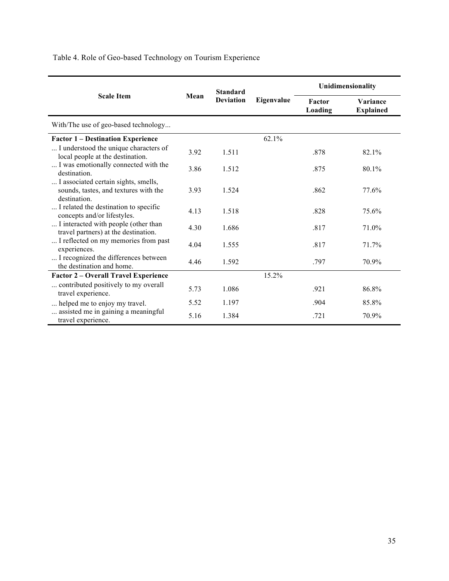|                                                                                               | Mean | <b>Standard</b><br><b>Deviation</b> | Eigenvalue | Unidimensionality |                              |
|-----------------------------------------------------------------------------------------------|------|-------------------------------------|------------|-------------------|------------------------------|
| <b>Scale Item</b>                                                                             |      |                                     |            | Factor<br>Loading | Variance<br><b>Explained</b> |
| With/The use of geo-based technology                                                          |      |                                     |            |                   |                              |
| <b>Factor 1 – Destination Experience</b>                                                      |      |                                     | 62.1%      |                   |                              |
| I understood the unique characters of<br>local people at the destination.                     | 3.92 | 1.511                               |            | .878              | 82.1%                        |
| I was emotionally connected with the<br>destination.                                          | 3.86 | 1.512                               |            | .875              | 80.1%                        |
| I associated certain sights, smells,<br>sounds, tastes, and textures with the<br>destination. | 3.93 | 1.524                               |            | .862              | 77.6%                        |
| I related the destination to specific<br>concepts and/or lifestyles.                          | 4.13 | 1.518                               |            | .828              | 75.6%                        |
| I interacted with people (other than<br>travel partners) at the destination.                  | 4.30 | 1.686                               |            | .817              | 71.0%                        |
| I reflected on my memories from past<br>experiences.                                          | 4.04 | 1.555                               |            | .817              | 71.7%                        |
| I recognized the differences between<br>the destination and home.                             | 4.46 | 1.592                               |            | .797              | 70.9%                        |
| <b>Factor 2 – Overall Travel Experience</b>                                                   |      |                                     | 15.2%      |                   |                              |
| contributed positively to my overall<br>travel experience.                                    | 5.73 | 1.086                               |            | .921              | 86.8%                        |
| helped me to enjoy my travel.                                                                 | 5.52 | 1.197                               |            | .904              | 85.8%                        |
| assisted me in gaining a meaningful<br>travel experience.                                     | 5.16 | 1.384                               |            | .721              | 70.9%                        |

Table 4. Role of Geo-based Technology on Tourism Experience